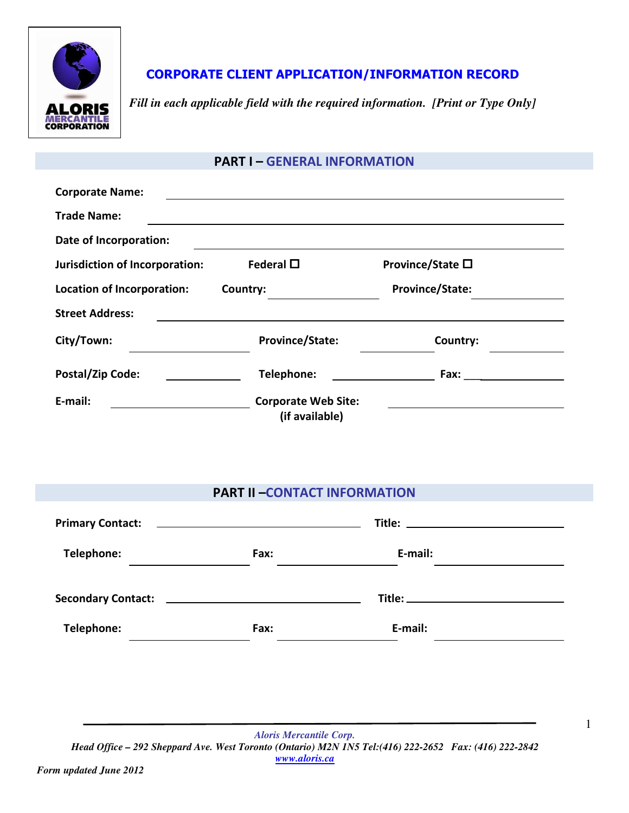

# CORPORATE CLIENT APPLICATION/INFORMATION RECORD

*Fill in each applicable field with the required information. [Print or Type Only]* 

### PART I – GENERAL INFORMATION

| <b>Corporate Name:</b>         |                                              |                  |
|--------------------------------|----------------------------------------------|------------------|
| <b>Trade Name:</b>             |                                              |                  |
| Date of Incorporation:         |                                              |                  |
| Jurisdiction of Incorporation: | Federal $\square$                            | Province/State □ |
| Location of Incorporation:     | Country:                                     | Province/State:  |
| <b>Street Address:</b>         |                                              |                  |
| City/Town:                     | <b>Province/State:</b>                       | Country:         |
| Postal/Zip Code:               | Telephone:                                   | Fax:             |
| E-mail:                        | <b>Corporate Web Site:</b><br>(if available) |                  |

# PART II –CONTACT INFORMATION

|                                                             | Primary Contact: <u>___________________________________</u> | <u>Title: _______________________________</u> |  |
|-------------------------------------------------------------|-------------------------------------------------------------|-----------------------------------------------|--|
| Telephone:                                                  | Fax:                                                        | E-mail:                                       |  |
| Secondary Contact: <u>_________________________________</u> |                                                             |                                               |  |
| Telephone:                                                  | Fax:                                                        | E-mail:                                       |  |

*Aloris Mercantile Corp. Head Office – 292 Sheppard Ave. West Toronto (Ontario) M2N 1N5 Tel:(416) 222-2652 Fax: (416) 222-2842 www.aloris.ca*

1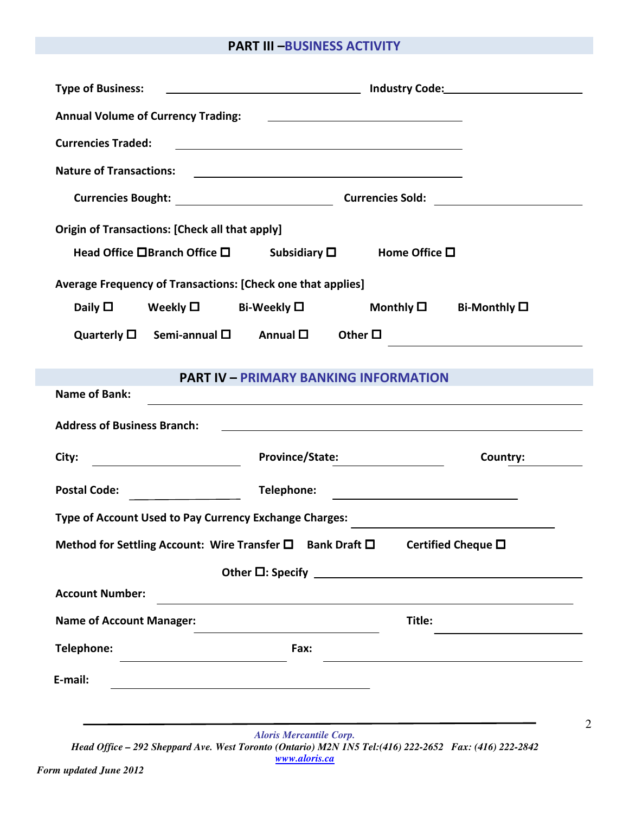## PART III –BUSINESS ACTIVITY

| <b>Type of Business:</b>                              |                                                                                                                            |        |                                                                                                                       |
|-------------------------------------------------------|----------------------------------------------------------------------------------------------------------------------------|--------|-----------------------------------------------------------------------------------------------------------------------|
|                                                       | Annual Volume of Currency Trading: National Contract of Currency Trading:                                                  |        |                                                                                                                       |
| <b>Currencies Traded:</b>                             | <u>and the contract of the contract of the contract of the contract of the contract of the contract of the contract of</u> |        |                                                                                                                       |
| <b>Nature of Transactions:</b>                        | <u> 1989 - Johann Barbara, martin amerikan basal dan berasal dan berasal dalam basal dan berasal dan berasal dan</u>       |        |                                                                                                                       |
|                                                       |                                                                                                                            |        |                                                                                                                       |
| <b>Origin of Transactions: [Check all that apply]</b> |                                                                                                                            |        |                                                                                                                       |
|                                                       | Head Office $\square$ Branch Office $\square$ Subsidiary $\square$ Home Office $\square$                                   |        |                                                                                                                       |
|                                                       | Average Frequency of Transactions: [Check one that applies]                                                                |        |                                                                                                                       |
|                                                       | $\mathsf{Daily}\ \Box$ Weekly $\Box$ Bi-Weekly $\Box$                                                                      |        | Monthly $\square$ Bi-Monthly $\square$                                                                                |
|                                                       | Quarterly $\square$ Semi-annual $\square$ Annual $\square$ Other $\square$                                                 |        |                                                                                                                       |
|                                                       |                                                                                                                            |        |                                                                                                                       |
| <b>Name of Bank:</b>                                  | <b>PART IV - PRIMARY BANKING INFORMATION</b>                                                                               |        | <u> 1989 - Johann Stoff, deutscher Stoff, der Stoff, der Stoff, der Stoff, der Stoff, der Stoff, der Stoff, der S</u> |
| <b>Address of Business Branch:</b>                    |                                                                                                                            |        | <u> 1989 - Andrea Stadt Britain, amerikansk politiker (d. 1989)</u>                                                   |
|                                                       |                                                                                                                            |        |                                                                                                                       |
| City:                                                 | Province/State: 2012 Marshall Province Province 2014                                                                       |        | Country:                                                                                                              |
|                                                       |                                                                                                                            |        |                                                                                                                       |
|                                                       | Type of Account Used to Pay Currency Exchange Charges:                                                                     |        | <u> 1989 - Andrea Station Barbara (h. 1989)</u>                                                                       |
|                                                       | Method for Settling Account: Wire Transfer □ Bank Draft □                                                                  |        | Certified Cheque □                                                                                                    |
|                                                       |                                                                                                                            |        | Other $\square$ : Specify $\blacksquare$                                                                              |
|                                                       |                                                                                                                            |        |                                                                                                                       |
| <b>Account Number:</b>                                |                                                                                                                            |        |                                                                                                                       |
| <b>Name of Account Manager:</b>                       |                                                                                                                            | Title: |                                                                                                                       |
| Telephone:                                            | Fax:                                                                                                                       |        |                                                                                                                       |
| E-mail:                                               | the control of the control of the control of the control of the control of the control of                                  |        |                                                                                                                       |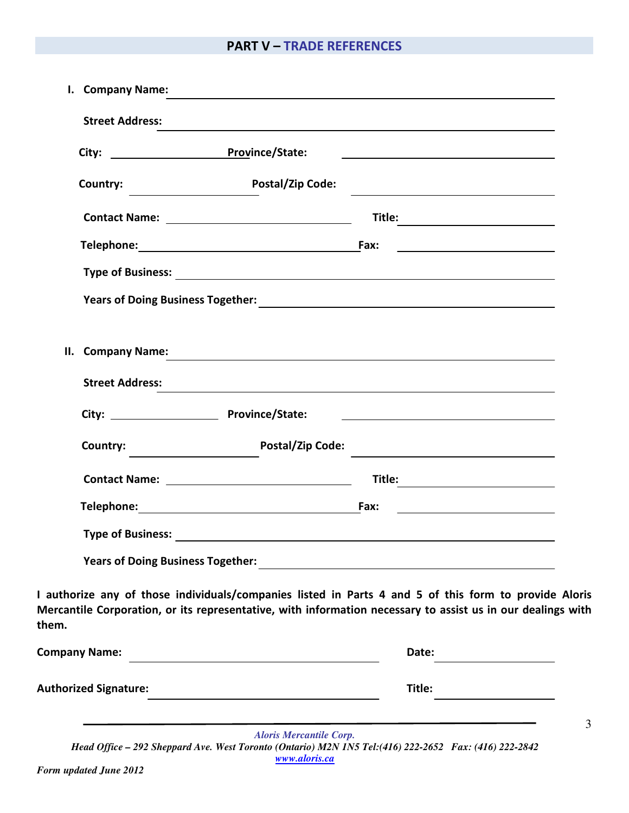# PART V – TRADE REFERENCES

| <b>Street Address:</b>                   |                           |                                                                                                                                                                                                                                      |
|------------------------------------------|---------------------------|--------------------------------------------------------------------------------------------------------------------------------------------------------------------------------------------------------------------------------------|
|                                          | City: Province/State:     |                                                                                                                                                                                                                                      |
|                                          | Country: Postal/Zip Code: | <u> 1989 - Johann Stein, marwolaethau a bhann an t-Amhair ann an t-Amhair an t-Amhair an t-Amhair an t-Amhair an </u>                                                                                                                |
|                                          |                           |                                                                                                                                                                                                                                      |
|                                          | Telephone: Fax:           |                                                                                                                                                                                                                                      |
|                                          |                           |                                                                                                                                                                                                                                      |
|                                          |                           | <b>Years of Doing Business Together:</b> New York Change of Doing Business Together:                                                                                                                                                 |
|                                          |                           | II. Company Name:                                                                                                                                                                                                                    |
| <b>Street Address:</b>                   |                           |                                                                                                                                                                                                                                      |
|                                          |                           | <u>state and the state of the state of the state of the state of the state of the state of the state of the state of the state of the state of the state of the state of the state of the state of the state of the state of the</u> |
| Country:                                 | <b>Postal/Zip Code:</b>   |                                                                                                                                                                                                                                      |
|                                          |                           |                                                                                                                                                                                                                                      |
|                                          | Telephone: Fax:           | <u>and the state of the state of the state of the state of the state of the state of the state of the state of the state of the state of the state of the state of the state of the state of the state of the state of the state</u> |
|                                          |                           |                                                                                                                                                                                                                                      |
| <b>Years of Doing Business Together:</b> |                           |                                                                                                                                                                                                                                      |
| them.                                    |                           | I authorize any of those individuals/companies listed in Parts 4 and 5 of this form to provide Aloris<br>Mercantile Corporation, or its representative, with information necessary to assist us in our dealings with                 |
| <b>Company Name:</b>                     |                           | Date:                                                                                                                                                                                                                                |
| <b>Authorized Signature:</b>             |                           | Title:                                                                                                                                                                                                                               |
|                                          |                           |                                                                                                                                                                                                                                      |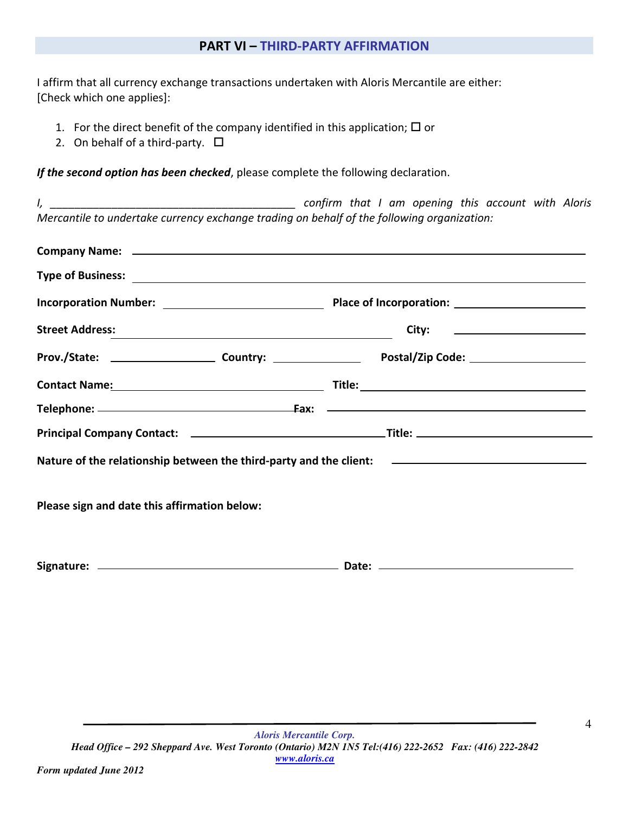### PART VI – THIRD-PARTY AFFIRMATION

I affirm that all currency exchange transactions undertaken with Aloris Mercantile are either: [Check which one applies]:

- 1. For the direct benefit of the company identified in this application;  $\square$  or
- 2. On behalf of a third-party.  $\Box$

*Form updated June 2012* 

If the second option has been checked, please complete the following declaration.

| I,                                                                                                                                                                                                                            |  | confirm that I am opening this account with Aloris |
|-------------------------------------------------------------------------------------------------------------------------------------------------------------------------------------------------------------------------------|--|----------------------------------------------------|
| Mercantile to undertake currency exchange trading on behalf of the following organization:                                                                                                                                    |  |                                                    |
| Company Name: Lawrence and the company Name: Lawrence and the company Name: Lawrence and the company Name: Lawrence and the company of the company of the company of the company of the company of the company of the company |  |                                                    |
|                                                                                                                                                                                                                               |  |                                                    |
|                                                                                                                                                                                                                               |  |                                                    |
|                                                                                                                                                                                                                               |  | City: ________________________                     |
|                                                                                                                                                                                                                               |  |                                                    |
|                                                                                                                                                                                                                               |  |                                                    |
|                                                                                                                                                                                                                               |  |                                                    |
|                                                                                                                                                                                                                               |  |                                                    |
| Nature of the relationship between the third-party and the client: The Commission of the relationship between the third-party and the client:                                                                                 |  |                                                    |
| Please sign and date this affirmation below:                                                                                                                                                                                  |  |                                                    |
|                                                                                                                                                                                                                               |  |                                                    |
|                                                                                                                                                                                                                               |  |                                                    |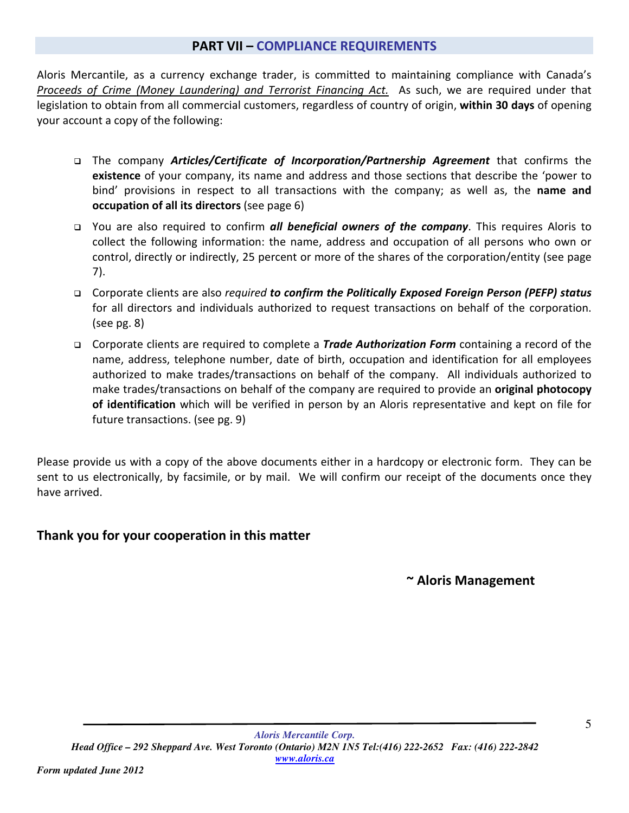### PART VII – COMPLIANCE REQUIREMENTS

Aloris Mercantile, as a currency exchange trader, is committed to maintaining compliance with Canada's Proceeds of Crime (Money Laundering) and Terrorist Financing Act. As such, we are required under that legislation to obtain from all commercial customers, regardless of country of origin, within 30 days of opening your account a copy of the following:

- □ The company Articles/Certificate of Incorporation/Partnership Agreement that confirms the existence of your company, its name and address and those sections that describe the 'power to bind' provisions in respect to all transactions with the company; as well as, the **name and** occupation of all its directors (see page 6)
- □ You are also required to confirm *all beneficial owners of the company*. This requires Aloris to collect the following information: the name, address and occupation of all persons who own or control, directly or indirectly, 25 percent or more of the shares of the corporation/entity (see page 7).
- □ Corporate clients are also required to confirm the Politically Exposed Foreign Person (PEFP) status for all directors and individuals authorized to request transactions on behalf of the corporation. (see pg. 8)
- □ Corporate clients are required to complete a *Trade Authorization Form* containing a record of the name, address, telephone number, date of birth, occupation and identification for all employees authorized to make trades/transactions on behalf of the company. All individuals authorized to make trades/transactions on behalf of the company are required to provide an original photocopy of identification which will be verified in person by an Aloris representative and kept on file for future transactions. (see pg. 9)

Please provide us with a copy of the above documents either in a hardcopy or electronic form. They can be sent to us electronically, by facsimile, or by mail. We will confirm our receipt of the documents once they have arrived.

# Thank you for your cooperation in this matter

~ Aloris Management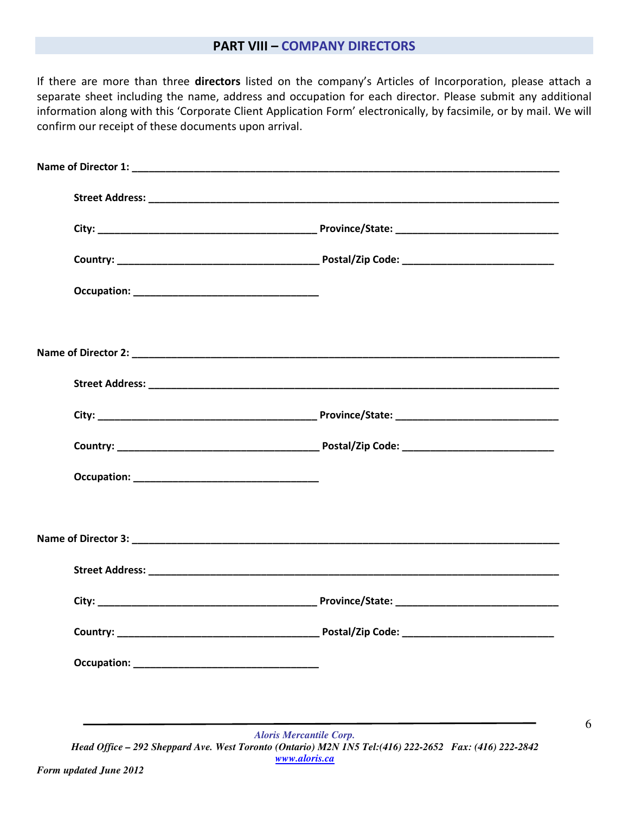#### PART VIII – COMPANY DIRECTORS

If there are more than three directors listed on the company's Articles of Incorporation, please attach a separate sheet including the name, address and occupation for each director. Please submit any additional information along with this 'Corporate Client Application Form' electronically, by facsimile, or by mail. We will confirm our receipt of these documents upon arrival.

6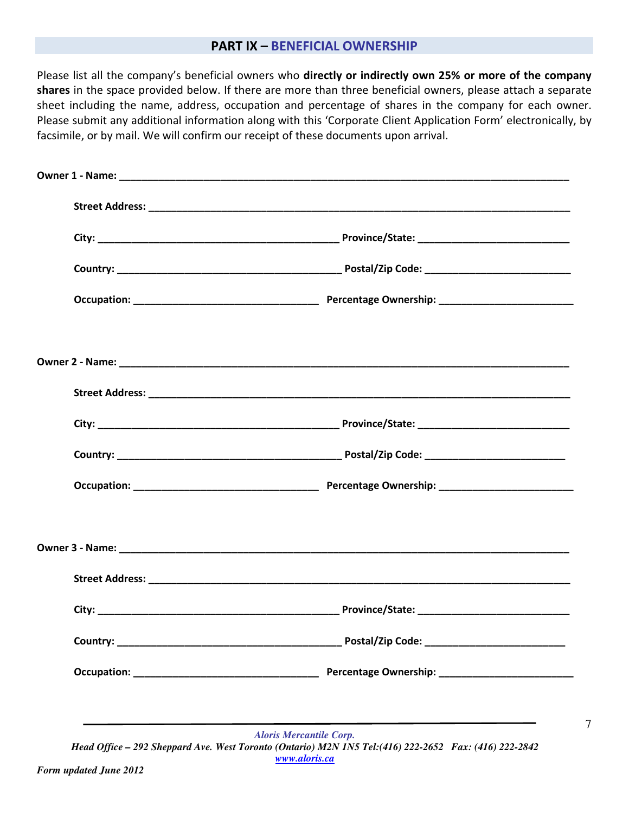#### PART IX – BENEFICIAL OWNERSHIP

Please list all the company's beneficial owners who directly or indirectly own 25% or more of the company shares in the space provided below. If there are more than three beneficial owners, please attach a separate sheet including the name, address, occupation and percentage of shares in the company for each owner. Please submit any additional information along with this 'Corporate Client Application Form' electronically, by facsimile, or by mail. We will confirm our receipt of these documents upon arrival.

| <b>Aloris Mercantile Corp.</b>                                                                                          |
|-------------------------------------------------------------------------------------------------------------------------|
| Head Office - 292 Sheppard Ave. West Toronto (Ontario) M2N 1N5 Tel: (416) 222-2652 Fax: (416) 222-2842<br>www.aloris.ca |

7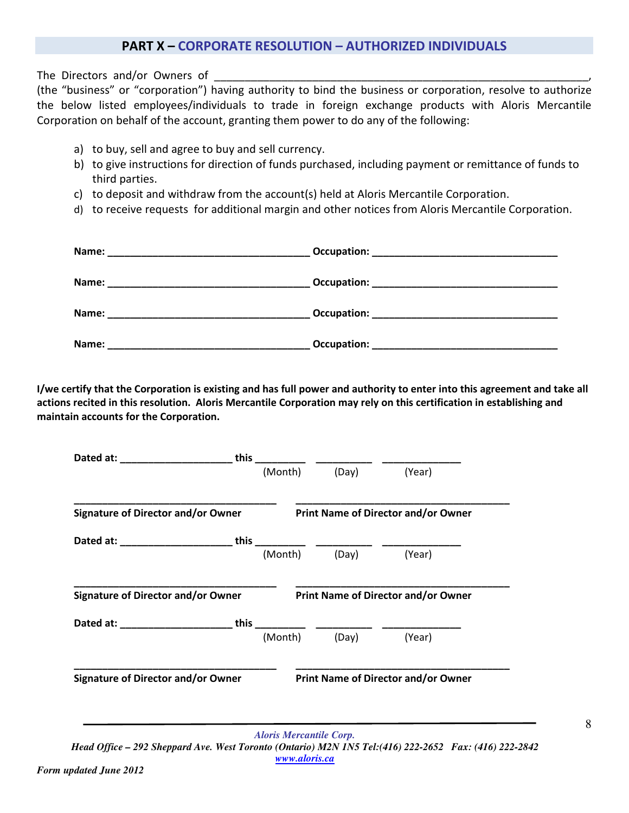#### PART X – CORPORATE RESOLUTION – AUTHORIZED INDIVIDUALS

The Directors and/or Owners of

(the "business" or "corporation") having authority to bind the business or corporation, resolve to authorize the below listed employees/individuals to trade in foreign exchange products with Aloris Mercantile Corporation on behalf of the account, granting them power to do any of the following:

- a) to buy, sell and agree to buy and sell currency.
- b) to give instructions for direction of funds purchased, including payment or remittance of funds to third parties.
- c) to deposit and withdraw from the account(s) held at Aloris Mercantile Corporation.
- d) to receive requests for additional margin and other notices from Aloris Mercantile Corporation.

| Name:                                                                                                                          | Occupation:                                       |
|--------------------------------------------------------------------------------------------------------------------------------|---------------------------------------------------|
|                                                                                                                                | <u> 1980 - Johann Barbara, martxa alemaniar a</u> |
| Name:<br><u> 1989 - Johann John Stone, markin amerikan bisa di sebagai pertama dan pertama dan pertama dan pertama dan per</u> |                                                   |
| Name:                                                                                                                          | Occupation:                                       |
|                                                                                                                                | <u> 1980 - Jan Barnett, mars et al. (b. 1980)</u> |
| Name:                                                                                                                          | Occupation:                                       |

I/we certify that the Corporation is existing and has full power and authority to enter into this agreement and take all actions recited in this resolution. Aloris Mercantile Corporation may rely on this certification in establishing and maintain accounts for the Corporation.

| <b>Signature of Director and/or Owner</b><br>Dated at: ______________________________this | (Month) | (Day)<br><b>Print Name of Director and/or Owner</b> | (Year)                                     |
|-------------------------------------------------------------------------------------------|---------|-----------------------------------------------------|--------------------------------------------|
|                                                                                           |         |                                                     |                                            |
|                                                                                           |         |                                                     |                                            |
|                                                                                           | (Month) | (Day)                                               | (Year)                                     |
|                                                                                           |         |                                                     |                                            |
| <b>Signature of Director and/or Owner</b>                                                 |         |                                                     | <b>Print Name of Director and/or Owner</b> |
| Dated at: _________________________this                                                   |         |                                                     |                                            |
|                                                                                           | (Month) | (Day)                                               | (Year)                                     |
| <b>Signature of Director and/or Owner</b>                                                 |         |                                                     | <b>Print Name of Director and/or Owner</b> |

*Aloris Mercantile Corp. Head Office – 292 Sheppard Ave. West Toronto (Ontario) M2N 1N5 Tel:(416) 222-2652 Fax: (416) 222-2842 www.aloris.ca*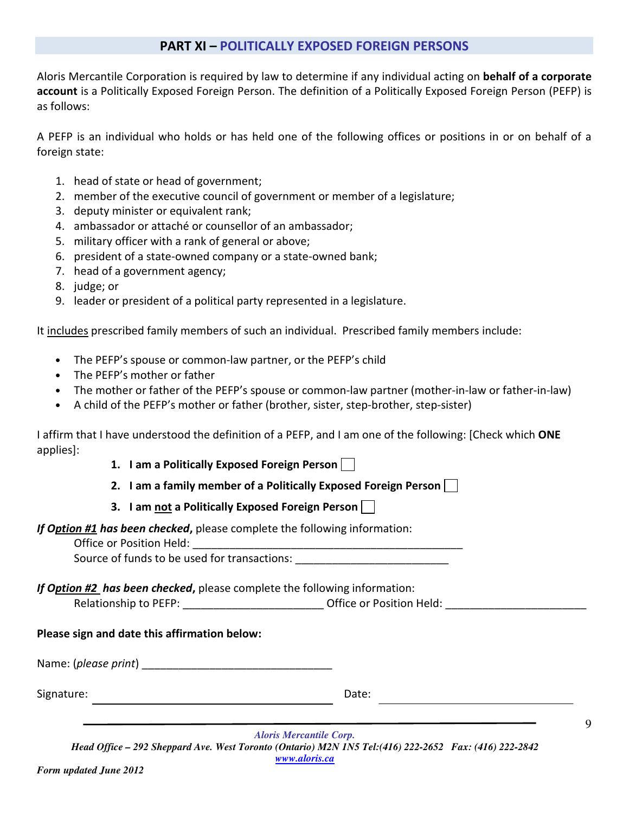#### PART XI – POLITICALLY EXPOSED FOREIGN PERSONS

Aloris Mercantile Corporation is required by law to determine if any individual acting on behalf of a corporate account is a Politically Exposed Foreign Person. The definition of a Politically Exposed Foreign Person (PEFP) is as follows:

A PEFP is an individual who holds or has held one of the following offices or positions in or on behalf of a foreign state:

- 1. head of state or head of government;
- 2. member of the executive council of government or member of a legislature;
- 3. deputy minister or equivalent rank;
- 4. ambassador or attaché or counsellor of an ambassador;
- 5. military officer with a rank of general or above;
- 6. president of a state-owned company or a state-owned bank;
- 7. head of a government agency;
- 8. judge; or
- 9. leader or president of a political party represented in a legislature.

It includes prescribed family members of such an individual. Prescribed family members include:

- The PEFP's spouse or common-law partner, or the PEFP's child
- The PEFP's mother or father
- The mother or father of the PEFP's spouse or common-law partner (mother-in-law or father-in-law)
- A child of the PEFP's mother or father (brother, sister, step-brother, step-sister)

I affirm that I have understood the definition of a PEFP, and I am one of the following: [Check which ONE applies]:

- 1. I am a Politically Exposed Foreign Person  $\Box$
- 2. I am a family member of a Politically Exposed Foreign Person  $\Box$
- 3. I am not a Politically Exposed Foreign Person

If Option #1 has been checked, please complete the following information:

Office or Position Held:

Source of funds to be used for transactions:

If Option #2 has been checked, please complete the following information:

Relationship to PEFP: \_\_\_\_\_\_\_\_\_\_\_\_\_\_\_\_\_\_\_\_\_\_\_\_\_\_\_\_\_\_\_Office or Position Held: \_\_\_\_\_\_\_\_\_\_\_\_\_\_\_\_\_\_\_\_\_

#### Please sign and date this affirmation below:

Name: (please print)

Signature: Date: Date: Date: Date: Date: Date: Date: Date: Date: Date: Date: Date: Date: Date: Date:  $\sim$  Date:  $\sim$  0.011

<u> 1980 - Johann Barn, mars ann an t-Amhain Aonaich an t-Aonaich an t-Aonaich ann an t-Aonaich ann an t-Aonaich</u>

9

*Aloris Mercantile Corp. Head Office – 292 Sheppard Ave. West Toronto (Ontario) M2N 1N5 Tel:(416) 222-2652 Fax: (416) 222-2842 www.aloris.ca*